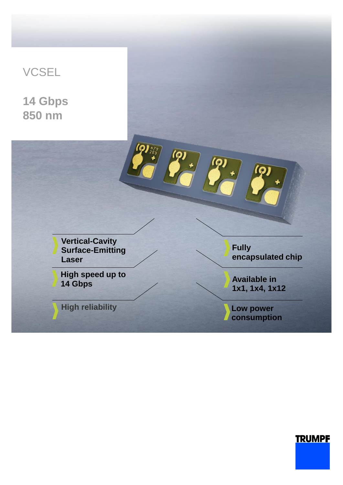

# **TRUMPF**